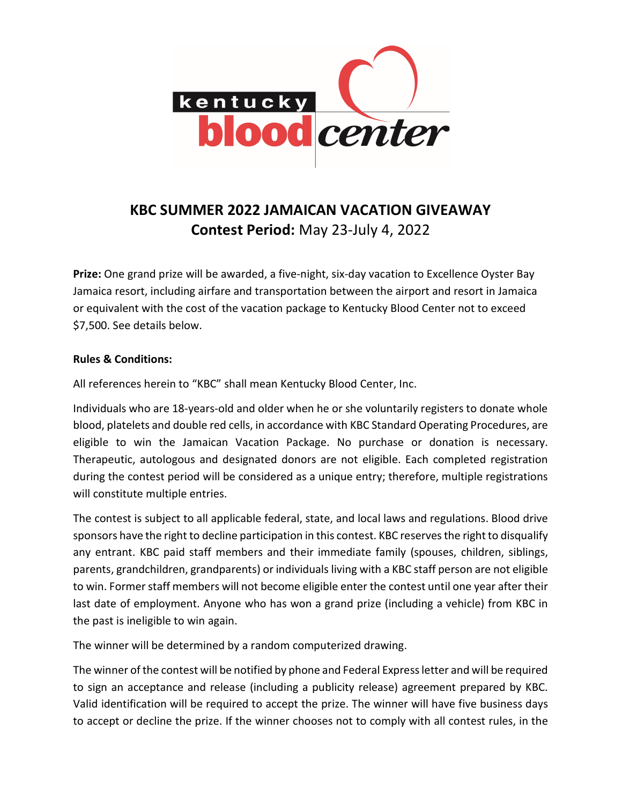

## KBC SUMMER 2022 JAMAICAN VACATION GIVEAWAY Contest Period: May 23-July 4, 2022

Prize: One grand prize will be awarded, a five-night, six-day vacation to Excellence Oyster Bay Jamaica resort, including airfare and transportation between the airport and resort in Jamaica or equivalent with the cost of the vacation package to Kentucky Blood Center not to exceed \$7,500. See details below.

## Rules & Conditions:

All references herein to "KBC" shall mean Kentucky Blood Center, Inc.

Individuals who are 18-years-old and older when he or she voluntarily registers to donate whole blood, platelets and double red cells, in accordance with KBC Standard Operating Procedures, are eligible to win the Jamaican Vacation Package. No purchase or donation is necessary. Therapeutic, autologous and designated donors are not eligible. Each completed registration during the contest period will be considered as a unique entry; therefore, multiple registrations will constitute multiple entries.

The contest is subject to all applicable federal, state, and local laws and regulations. Blood drive sponsors have the right to decline participation in this contest. KBC reserves the right to disqualify any entrant. KBC paid staff members and their immediate family (spouses, children, siblings, parents, grandchildren, grandparents) or individuals living with a KBC staff person are not eligible to win. Former staff members will not become eligible enter the contest until one year after their last date of employment. Anyone who has won a grand prize (including a vehicle) from KBC in the past is ineligible to win again.

The winner will be determined by a random computerized drawing.

The winner of the contest will be notified by phone and Federal Express letter and will be required to sign an acceptance and release (including a publicity release) agreement prepared by KBC. Valid identification will be required to accept the prize. The winner will have five business days to accept or decline the prize. If the winner chooses not to comply with all contest rules, in the